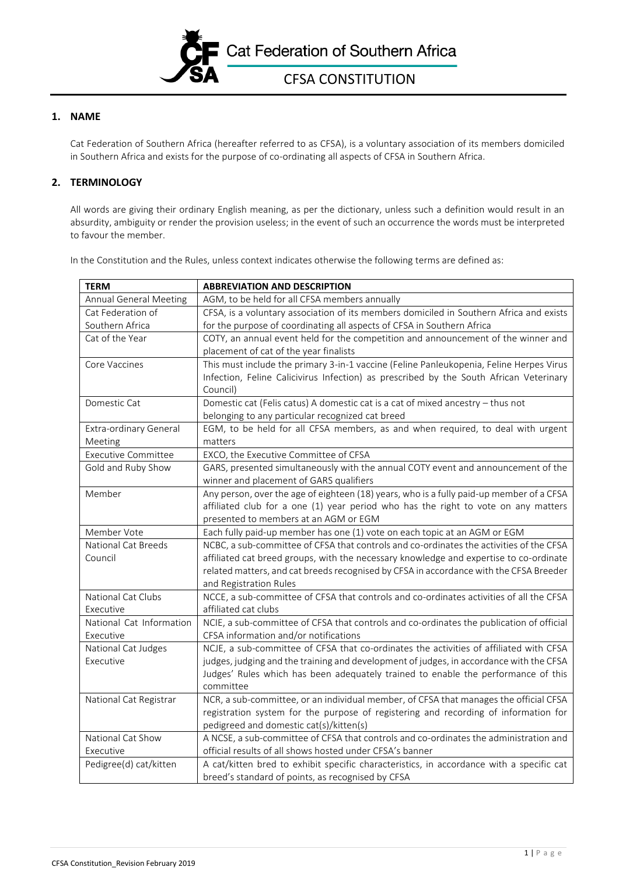

## **1. NAME**

Cat Federation of Southern Africa (hereafter referred to as CFSA), is a voluntary association of its members domiciled in Southern Africa and exists for the purpose of co-ordinating all aspects of CFSA in Southern Africa.

## **2. TERMINOLOGY**

All words are giving their ordinary English meaning, as per the dictionary, unless such a definition would result in an absurdity, ambiguity or render the provision useless; in the event of such an occurrence the words must be interpreted to favour the member.

In the Constitution and the Rules, unless context indicates otherwise the following terms are defined as:

| <b>TERM</b>                   | <b>ABBREVIATION AND DESCRIPTION</b>                                                      |
|-------------------------------|------------------------------------------------------------------------------------------|
| <b>Annual General Meeting</b> | AGM, to be held for all CFSA members annually                                            |
| Cat Federation of             | CFSA, is a voluntary association of its members domiciled in Southern Africa and exists  |
| Southern Africa               | for the purpose of coordinating all aspects of CFSA in Southern Africa                   |
| Cat of the Year               | COTY, an annual event held for the competition and announcement of the winner and        |
|                               | placement of cat of the year finalists                                                   |
| Core Vaccines                 | This must include the primary 3-in-1 vaccine (Feline Panleukopenia, Feline Herpes Virus  |
|                               | Infection, Feline Calicivirus Infection) as prescribed by the South African Veterinary   |
|                               | Council)                                                                                 |
| Domestic Cat                  | Domestic cat (Felis catus) A domestic cat is a cat of mixed ancestry - thus not          |
|                               | belonging to any particular recognized cat breed                                         |
| Extra-ordinary General        | EGM, to be held for all CFSA members, as and when required, to deal with urgent          |
| Meeting                       | matters                                                                                  |
| <b>Executive Committee</b>    | EXCO, the Executive Committee of CFSA                                                    |
| Gold and Ruby Show            | GARS, presented simultaneously with the annual COTY event and announcement of the        |
|                               | winner and placement of GARS qualifiers                                                  |
| Member                        | Any person, over the age of eighteen (18) years, who is a fully paid-up member of a CFSA |
|                               | affiliated club for a one (1) year period who has the right to vote on any matters       |
|                               | presented to members at an AGM or EGM                                                    |
| Member Vote                   | Each fully paid-up member has one (1) vote on each topic at an AGM or EGM                |
| <b>National Cat Breeds</b>    | NCBC, a sub-committee of CFSA that controls and co-ordinates the activities of the CFSA  |
| Council                       | affiliated cat breed groups, with the necessary knowledge and expertise to co-ordinate   |
|                               | related matters, and cat breeds recognised by CFSA in accordance with the CFSA Breeder   |
|                               | and Registration Rules                                                                   |
| National Cat Clubs            | NCCE, a sub-committee of CFSA that controls and co-ordinates activities of all the CFSA  |
| Executive                     | affiliated cat clubs                                                                     |
| National Cat Information      | NCIE, a sub-committee of CFSA that controls and co-ordinates the publication of official |
| Executive                     | CFSA information and/or notifications                                                    |
| National Cat Judges           | NCJE, a sub-committee of CFSA that co-ordinates the activities of affiliated with CFSA   |
| Executive                     | judges, judging and the training and development of judges, in accordance with the CFSA  |
|                               | Judges' Rules which has been adequately trained to enable the performance of this        |
|                               | committee                                                                                |
| National Cat Registrar        | NCR, a sub-committee, or an individual member, of CFSA that manages the official CFSA    |
|                               | registration system for the purpose of registering and recording of information for      |
|                               | pedigreed and domestic cat(s)/kitten(s)                                                  |
| National Cat Show             | A NCSE, a sub-committee of CFSA that controls and co-ordinates the administration and    |
| Executive                     | official results of all shows hosted under CFSA's banner                                 |
| Pedigree(d) cat/kitten        | A cat/kitten bred to exhibit specific characteristics, in accordance with a specific cat |
|                               | breed's standard of points, as recognised by CFSA                                        |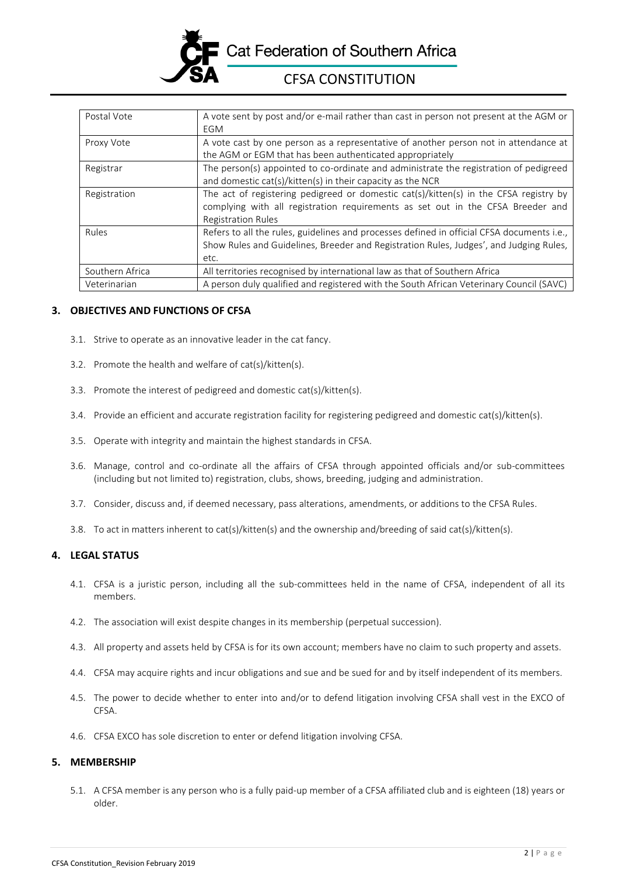

# CFSA CONSTITUTION

| Postal Vote     | A vote sent by post and/or e-mail rather than cast in person not present at the AGM or     |
|-----------------|--------------------------------------------------------------------------------------------|
|                 | <b>EGM</b>                                                                                 |
| Proxy Vote      | A vote cast by one person as a representative of another person not in attendance at       |
|                 | the AGM or EGM that has been authenticated appropriately                                   |
| Registrar       | The person(s) appointed to co-ordinate and administrate the registration of pedigreed      |
|                 | and domestic cat(s)/kitten(s) in their capacity as the NCR                                 |
| Registration    | The act of registering pedigreed or domestic cat(s)/kitten(s) in the CFSA registry by      |
|                 | complying with all registration requirements as set out in the CFSA Breeder and            |
|                 | <b>Registration Rules</b>                                                                  |
| Rules           | Refers to all the rules, guidelines and processes defined in official CFSA documents i.e., |
|                 | Show Rules and Guidelines, Breeder and Registration Rules, Judges', and Judging Rules,     |
|                 | etc.                                                                                       |
| Southern Africa | All territories recognised by international law as that of Southern Africa                 |
| Veterinarian    | A person duly qualified and registered with the South African Veterinary Council (SAVC)    |

## **3. OBJECTIVES AND FUNCTIONS OF CFSA**

- 3.1. Strive to operate as an innovative leader in the cat fancy.
- 3.2. Promote the health and welfare of cat(s)/kitten(s).
- 3.3. Promote the interest of pedigreed and domestic cat(s)/kitten(s).
- 3.4. Provide an efficient and accurate registration facility for registering pedigreed and domestic cat(s)/kitten(s).
- 3.5. Operate with integrity and maintain the highest standards in CFSA.
- 3.6. Manage, control and co-ordinate all the affairs of CFSA through appointed officials and/or sub-committees (including but not limited to) registration, clubs, shows, breeding, judging and administration.
- 3.7. Consider, discuss and, if deemed necessary, pass alterations, amendments, or additions to the CFSA Rules.
- 3.8. To act in matters inherent to cat(s)/kitten(s) and the ownership and/breeding of said cat(s)/kitten(s).

# **4. LEGAL STATUS**

- 4.1. CFSA is a juristic person, including all the sub-committees held in the name of CFSA, independent of all its members.
- 4.2. The association will exist despite changes in its membership (perpetual succession).
- 4.3. All property and assets held by CFSA is for its own account; members have no claim to such property and assets.
- 4.4. CFSA may acquire rights and incur obligations and sue and be sued for and by itself independent of its members.
- 4.5. The power to decide whether to enter into and/or to defend litigation involving CFSA shall vest in the EXCO of CFSA.
- 4.6. CFSA EXCO has sole discretion to enter or defend litigation involving CFSA.

# **5. MEMBERSHIP**

5.1. A CFSA member is any person who is a fully paid-up member of a CFSA affiliated club and is eighteen (18) years or older.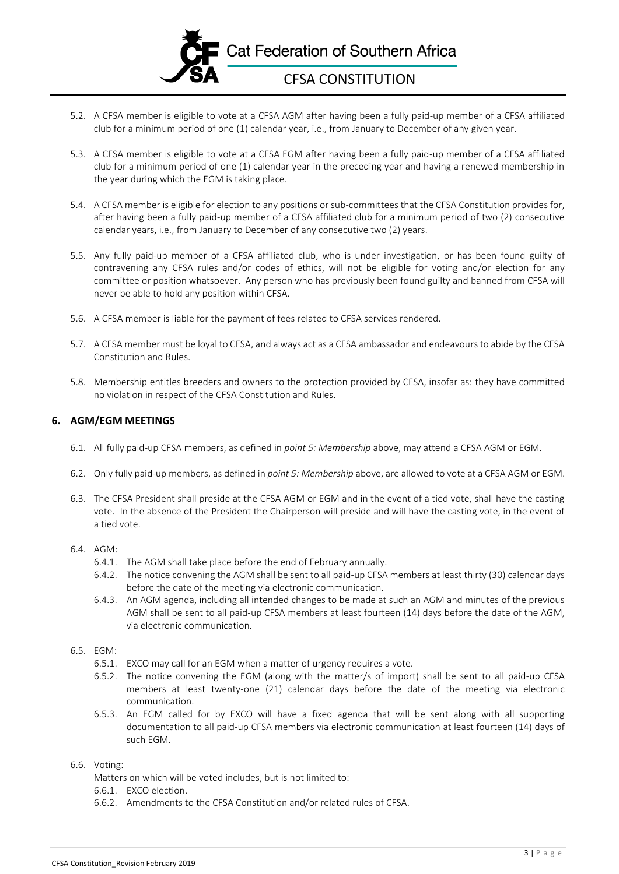

- 5.2. A CFSA member is eligible to vote at a CFSA AGM after having been a fully paid-up member of a CFSA affiliated club for a minimum period of one (1) calendar year, i.e., from January to December of any given year.
- 5.3. A CFSA member is eligible to vote at a CFSA EGM after having been a fully paid-up member of a CFSA affiliated club for a minimum period of one (1) calendar year in the preceding year and having a renewed membership in the year during which the EGM is taking place.
- 5.4. A CFSA member is eligible for election to any positions or sub-committees that the CFSA Constitution provides for, after having been a fully paid-up member of a CFSA affiliated club for a minimum period of two (2) consecutive calendar years, i.e., from January to December of any consecutive two (2) years.
- 5.5. Any fully paid-up member of a CFSA affiliated club, who is under investigation, or has been found guilty of contravening any CFSA rules and/or codes of ethics, will not be eligible for voting and/or election for any committee or position whatsoever. Any person who has previously been found guilty and banned from CFSA will never be able to hold any position within CFSA.
- 5.6. A CFSA member is liable for the payment of fees related to CFSA services rendered.
- 5.7. A CFSA member must be loyal to CFSA, and always act as a CFSA ambassador and endeavoursto abide by the CFSA Constitution and Rules.
- 5.8. Membership entitles breeders and owners to the protection provided by CFSA, insofar as: they have committed no violation in respect of the CFSA Constitution and Rules.

## **6. AGM/EGM MEETINGS**

- 6.1. All fully paid-up CFSA members, as defined in *point 5: Membership* above, may attend a CFSA AGM or EGM.
- 6.2. Only fully paid-up members, as defined in *point 5: Membership* above, are allowed to vote at a CFSA AGM or EGM.
- 6.3. The CFSA President shall preside at the CFSA AGM or EGM and in the event of a tied vote, shall have the casting vote. In the absence of the President the Chairperson will preside and will have the casting vote, in the event of a tied vote.
- 6.4. AGM:
	- 6.4.1. The AGM shall take place before the end of February annually.
	- 6.4.2. The notice convening the AGM shall be sent to all paid-up CFSA members at least thirty (30) calendar days before the date of the meeting via electronic communication.
	- 6.4.3. An AGM agenda, including all intended changes to be made at such an AGM and minutes of the previous AGM shall be sent to all paid-up CFSA members at least fourteen (14) days before the date of the AGM, via electronic communication.
- 6.5. EGM:
	- 6.5.1. EXCO may call for an EGM when a matter of urgency requires a vote.
	- 6.5.2. The notice convening the EGM (along with the matter/s of import) shall be sent to all paid-up CFSA members at least twenty-one (21) calendar days before the date of the meeting via electronic communication.
	- 6.5.3. An EGM called for by EXCO will have a fixed agenda that will be sent along with all supporting documentation to all paid-up CFSA members via electronic communication at least fourteen (14) days of such EGM.
- 6.6. Voting:
	- Matters on which will be voted includes, but is not limited to:
	- 6.6.1. EXCO election.
	- 6.6.2. Amendments to the CFSA Constitution and/or related rules of CFSA.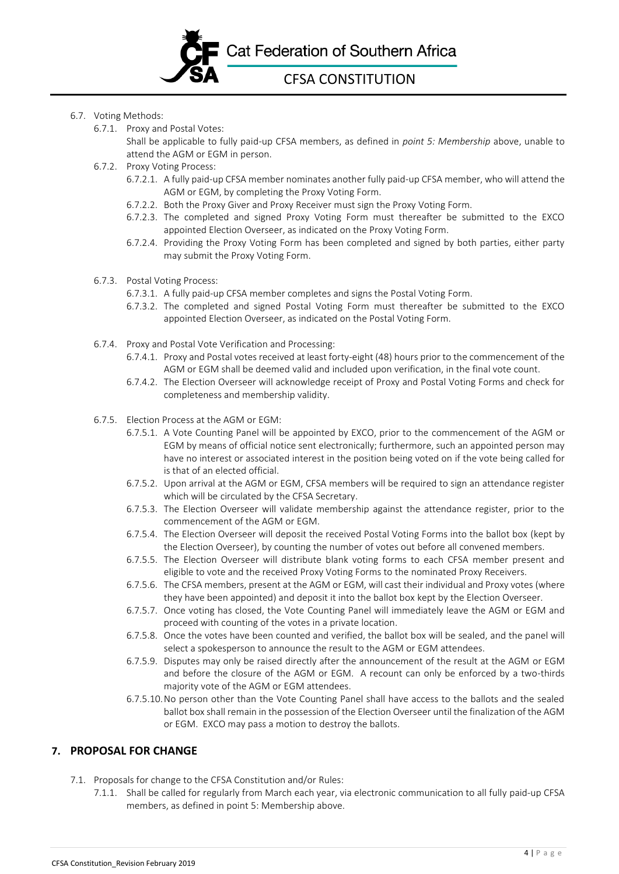

- 6.7. Voting Methods:
	- 6.7.1. Proxy and Postal Votes:

Shall be applicable to fully paid-up CFSA members, as defined in *point 5: Membership* above, unable to attend the AGM or EGM in person.

- 6.7.2. Proxy Voting Process:
	- 6.7.2.1. A fully paid-up CFSA member nominates another fully paid-up CFSA member, who will attend the AGM or EGM, by completing the Proxy Voting Form.
	- 6.7.2.2. Both the Proxy Giver and Proxy Receiver must sign the Proxy Voting Form.
	- 6.7.2.3. The completed and signed Proxy Voting Form must thereafter be submitted to the EXCO appointed Election Overseer, as indicated on the Proxy Voting Form.
	- 6.7.2.4. Providing the Proxy Voting Form has been completed and signed by both parties, either party may submit the Proxy Voting Form.
- 6.7.3. Postal Voting Process:
	- 6.7.3.1. A fully paid-up CFSA member completes and signs the Postal Voting Form.
	- 6.7.3.2. The completed and signed Postal Voting Form must thereafter be submitted to the EXCO appointed Election Overseer, as indicated on the Postal Voting Form.
- 6.7.4. Proxy and Postal Vote Verification and Processing:
	- 6.7.4.1. Proxy and Postal votes received at least forty-eight (48) hours prior to the commencement of the AGM or EGM shall be deemed valid and included upon verification, in the final vote count.
	- 6.7.4.2. The Election Overseer will acknowledge receipt of Proxy and Postal Voting Forms and check for completeness and membership validity.
- 6.7.5. Election Process at the AGM or EGM:
	- 6.7.5.1. A Vote Counting Panel will be appointed by EXCO, prior to the commencement of the AGM or EGM by means of official notice sent electronically; furthermore, such an appointed person may have no interest or associated interest in the position being voted on if the vote being called for is that of an elected official.
	- 6.7.5.2. Upon arrival at the AGM or EGM, CFSA members will be required to sign an attendance register which will be circulated by the CFSA Secretary.
	- 6.7.5.3. The Election Overseer will validate membership against the attendance register, prior to the commencement of the AGM or EGM.
	- 6.7.5.4. The Election Overseer will deposit the received Postal Voting Forms into the ballot box (kept by the Election Overseer), by counting the number of votes out before all convened members.
	- 6.7.5.5. The Election Overseer will distribute blank voting forms to each CFSA member present and eligible to vote and the received Proxy Voting Forms to the nominated Proxy Receivers.
	- 6.7.5.6. The CFSA members, present at the AGM or EGM, will cast their individual and Proxy votes (where they have been appointed) and deposit it into the ballot box kept by the Election Overseer.
	- 6.7.5.7. Once voting has closed, the Vote Counting Panel will immediately leave the AGM or EGM and proceed with counting of the votes in a private location.
	- 6.7.5.8. Once the votes have been counted and verified, the ballot box will be sealed, and the panel will select a spokesperson to announce the result to the AGM or EGM attendees.
	- 6.7.5.9. Disputes may only be raised directly after the announcement of the result at the AGM or EGM and before the closure of the AGM or EGM. A recount can only be enforced by a two-thirds majority vote of the AGM or EGM attendees.
	- 6.7.5.10.No person other than the Vote Counting Panel shall have access to the ballots and the sealed ballot box shall remain in the possession of the Election Overseer until the finalization of the AGM or EGM. EXCO may pass a motion to destroy the ballots.

# **7. PROPOSAL FOR CHANGE**

- 7.1. Proposals for change to the CFSA Constitution and/or Rules:
	- 7.1.1. Shall be called for regularly from March each year, via electronic communication to all fully paid-up CFSA members, as defined in point 5: Membership above.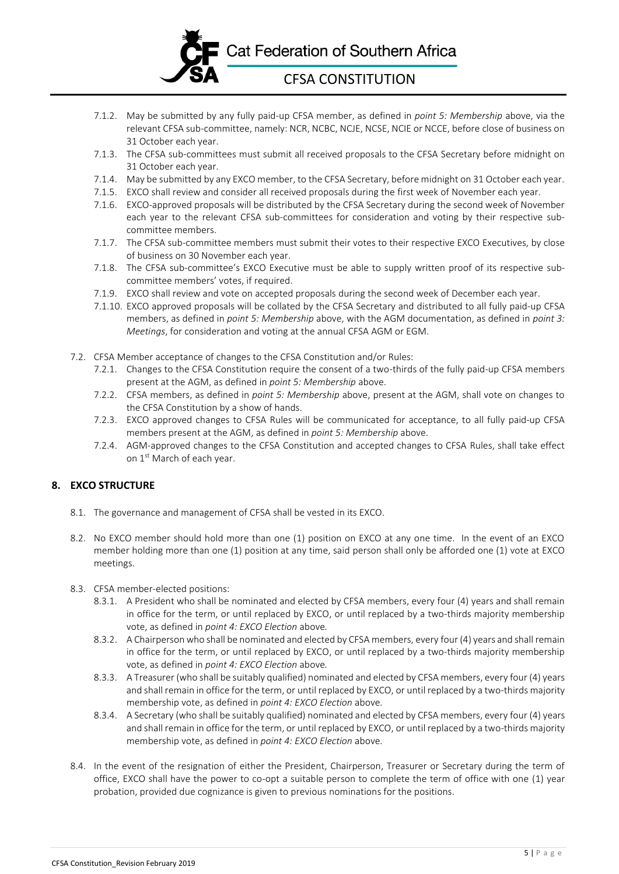

- 7.1.2. May be submitted by any fully paid-up CFSA member, as defined in *point 5: Membership* above, via the relevant CFSA sub-committee, namely: NCR, NCBC, NCJE, NCSE, NCIE or NCCE, before close of business on 31 October each year.
- 7.1.3. The CFSA sub-committees must submit all received proposals to the CFSA Secretary before midnight on 31 October each year.
- 7.1.4. May be submitted by any EXCO member, to the CFSA Secretary, before midnight on 31 October each year.
- 7.1.5. EXCO shall review and consider all received proposals during the first week of November each year.
- 7.1.6. EXCO-approved proposals will be distributed by the CFSA Secretary during the second week of November each year to the relevant CFSA sub-committees for consideration and voting by their respective subcommittee members.
- 7.1.7. The CFSA sub-committee members must submit their votes to their respective EXCO Executives, by close of business on 30 November each year.
- 7.1.8. The CFSA sub-committee's EXCO Executive must be able to supply written proof of its respective subcommittee members' votes, if required.
- 7.1.9. EXCO shall review and vote on accepted proposals during the second week of December each year.
- 7.1.10. EXCO approved proposals will be collated by the CFSA Secretary and distributed to all fully paid-up CFSA members, as defined in *point 5: Membership* above, with the AGM documentation, as defined in *point 3: Meetings*, for consideration and voting at the annual CFSA AGM or EGM.
- 7.2. CFSA Member acceptance of changes to the CFSA Constitution and/or Rules:
	- 7.2.1. Changes to the CFSA Constitution require the consent of a two-thirds of the fully paid-up CFSA members present at the AGM, as defined in *point 5: Membership* above.
	- 7.2.2. CFSA members, as defined in *point 5: Membership* above, present at the AGM, shall vote on changes to the CFSA Constitution by a show of hands.
	- 7.2.3. EXCO approved changes to CFSA Rules will be communicated for acceptance, to all fully paid-up CFSA members present at the AGM, as defined in *point 5: Membership* above.
	- 7.2.4. AGM-approved changes to the CFSA Constitution and accepted changes to CFSA Rules, shall take effect on 1<sup>st</sup> March of each year.

# **8. EXCO STRUCTURE**

- 8.1. The governance and management of CFSA shall be vested in its EXCO.
- 8.2. No EXCO member should hold more than one (1) position on EXCO at any one time. In the event of an EXCO member holding more than one (1) position at any time, said person shall only be afforded one (1) vote at EXCO meetings.
- 8.3. CFSA member-elected positions:
	- 8.3.1. A President who shall be nominated and elected by CFSA members, every four (4) years and shall remain in office for the term, or until replaced by EXCO, or until replaced by a two-thirds majority membership vote, as defined in *point 4: EXCO Election* above*.*
	- 8.3.2. A Chairperson who shall be nominated and elected by CFSA members, every four (4) years and shall remain in office for the term, or until replaced by EXCO, or until replaced by a two-thirds majority membership vote, as defined in *point 4: EXCO Election* above*.*
	- 8.3.3. A Treasurer (who shall be suitably qualified) nominated and elected by CFSA members, every four (4) years and shall remain in office for the term, or until replaced by EXCO, or until replaced by a two-thirds majority membership vote, as defined in *point 4: EXCO Election* above*.*
	- 8.3.4. A Secretary (who shall be suitably qualified) nominated and elected by CFSA members, every four (4) years and shall remain in office for the term, or until replaced by EXCO, or until replaced by a two-thirds majority membership vote, as defined in *point 4: EXCO Election* above*.*
- 8.4. In the event of the resignation of either the President, Chairperson, Treasurer or Secretary during the term of office, EXCO shall have the power to co-opt a suitable person to complete the term of office with one (1) year probation, provided due cognizance is given to previous nominations for the positions.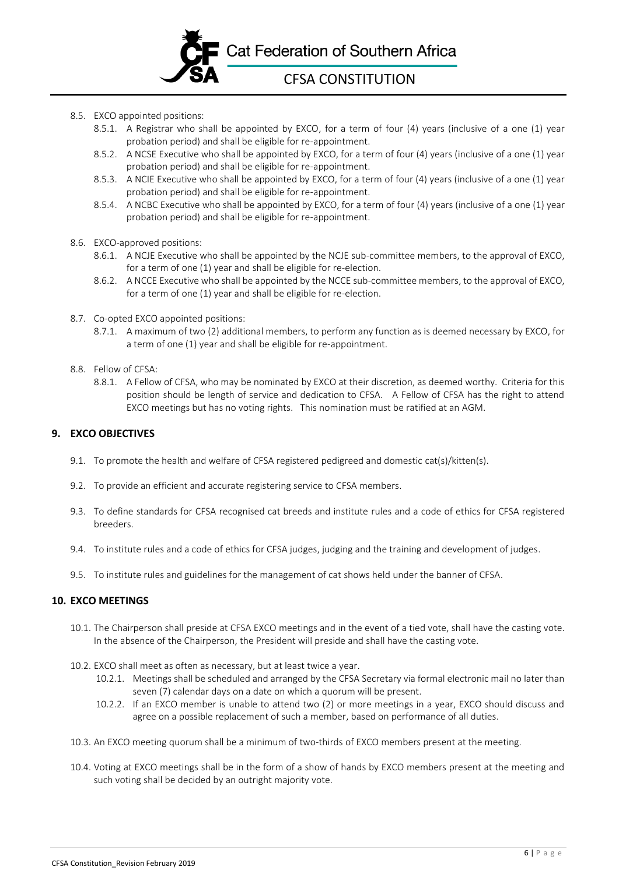

- 8.5. EXCO appointed positions:
	- 8.5.1. A Registrar who shall be appointed by EXCO, for a term of four (4) years (inclusive of a one (1) year probation period) and shall be eligible for re-appointment.
	- 8.5.2. A NCSE Executive who shall be appointed by EXCO, for a term of four (4) years (inclusive of a one (1) year probation period) and shall be eligible for re-appointment.
	- 8.5.3. A NCIE Executive who shall be appointed by EXCO, for a term of four (4) years (inclusive of a one (1) year probation period) and shall be eligible for re-appointment.
	- 8.5.4. A NCBC Executive who shall be appointed by EXCO, for a term of four (4) years (inclusive of a one (1) year probation period) and shall be eligible for re-appointment.
- 8.6. EXCO-approved positions:
	- 8.6.1. A NCJE Executive who shall be appointed by the NCJE sub-committee members, to the approval of EXCO, for a term of one (1) year and shall be eligible for re-election.
	- 8.6.2. A NCCE Executive who shall be appointed by the NCCE sub-committee members, to the approval of EXCO, for a term of one (1) year and shall be eligible for re-election.
- 8.7. Co-opted EXCO appointed positions:
	- 8.7.1. A maximum of two (2) additional members, to perform any function as is deemed necessary by EXCO, for a term of one (1) year and shall be eligible for re-appointment.
- 8.8. Fellow of CFSA:
	- 8.8.1. A Fellow of CFSA, who may be nominated by EXCO at their discretion, as deemed worthy. Criteria for this position should be length of service and dedication to CFSA. A Fellow of CFSA has the right to attend EXCO meetings but has no voting rights. This nomination must be ratified at an AGM.

# **9. EXCO OBJECTIVES**

- 9.1. To promote the health and welfare of CFSA registered pedigreed and domestic cat(s)/kitten(s).
- 9.2. To provide an efficient and accurate registering service to CFSA members.
- 9.3. To define standards for CFSA recognised cat breeds and institute rules and a code of ethics for CFSA registered breeders.
- 9.4. To institute rules and a code of ethics for CFSA judges, judging and the training and development of judges.
- 9.5. To institute rules and guidelines for the management of cat shows held under the banner of CFSA.

#### **10. EXCO MEETINGS**

- 10.1. The Chairperson shall preside at CFSA EXCO meetings and in the event of a tied vote, shall have the casting vote. In the absence of the Chairperson, the President will preside and shall have the casting vote.
- 10.2. EXCO shall meet as often as necessary, but at least twice a year.
	- 10.2.1. Meetings shall be scheduled and arranged by the CFSA Secretary via formal electronic mail no later than seven (7) calendar days on a date on which a quorum will be present.
	- 10.2.2. If an EXCO member is unable to attend two (2) or more meetings in a year, EXCO should discuss and agree on a possible replacement of such a member, based on performance of all duties.
- 10.3. An EXCO meeting quorum shall be a minimum of two-thirds of EXCO members present at the meeting.
- 10.4. Voting at EXCO meetings shall be in the form of a show of hands by EXCO members present at the meeting and such voting shall be decided by an outright majority vote.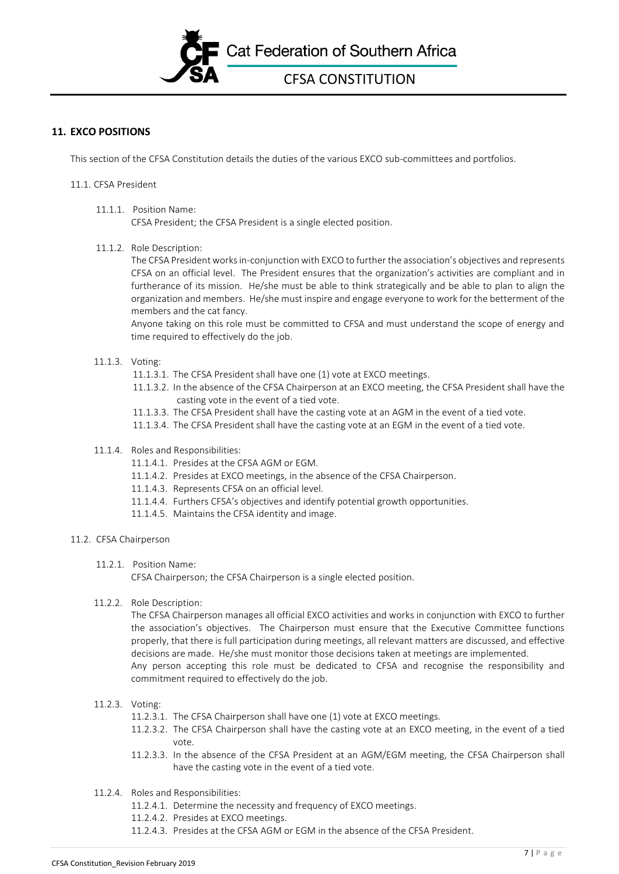

# **11. EXCO POSITIONS**

This section of the CFSA Constitution details the duties of the various EXCO sub-committees and portfolios.

#### 11.1. CFSA President

11.1.1. Position Name: CFSA President; the CFSA President is a single elected position.

#### 11.1.2. Role Description:

The CFSA President works in-conjunction with EXCO to further the association's objectives and represents CFSA on an official level. The President ensures that the organization's activities are compliant and in furtherance of its mission. He/she must be able to think strategically and be able to plan to align the organization and members. He/she must inspire and engage everyone to work for the betterment of the members and the cat fancy.

Anyone taking on this role must be committed to CFSA and must understand the scope of energy and time required to effectively do the job.

#### 11.1.3. Voting:

- 11.1.3.1. The CFSA President shall have one (1) vote at EXCO meetings.
- 11.1.3.2. In the absence of the CFSA Chairperson at an EXCO meeting, the CFSA President shall have the casting vote in the event of a tied vote.
- 11.1.3.3. The CFSA President shall have the casting vote at an AGM in the event of a tied vote.
- 11.1.3.4. The CFSA President shall have the casting vote at an EGM in the event of a tied vote.

#### 11.1.4. Roles and Responsibilities:

- 11.1.4.1. Presides at the CFSA AGM or EGM.
- 11.1.4.2. Presides at EXCO meetings, in the absence of the CFSA Chairperson.
- 11.1.4.3. Represents CFSA on an official level.
- 11.1.4.4. Furthers CFSA's objectives and identify potential growth opportunities.
- 11.1.4.5. Maintains the CFSA identity and image.

# 11.2. CFSA Chairperson

11.2.1. Position Name:

CFSA Chairperson; the CFSA Chairperson is a single elected position.

11.2.2. Role Description:

The CFSA Chairperson manages all official EXCO activities and works in conjunction with EXCO to further the association's objectives. The Chairperson must ensure that the Executive Committee functions properly, that there is full participation during meetings, all relevant matters are discussed, and effective decisions are made. He/she must monitor those decisions taken at meetings are implemented. Any person accepting this role must be dedicated to CFSA and recognise the responsibility and commitment required to effectively do the job.

#### 11.2.3. Voting:

- 11.2.3.1. The CFSA Chairperson shall have one (1) vote at EXCO meetings.
- 11.2.3.2. The CFSA Chairperson shall have the casting vote at an EXCO meeting, in the event of a tied vote.
- 11.2.3.3. In the absence of the CFSA President at an AGM/EGM meeting, the CFSA Chairperson shall have the casting vote in the event of a tied vote.
- 11.2.4. Roles and Responsibilities:
	- 11.2.4.1. Determine the necessity and frequency of EXCO meetings.
	- 11.2.4.2. Presides at EXCO meetings.
	- 11.2.4.3. Presides at the CFSA AGM or EGM in the absence of the CFSA President.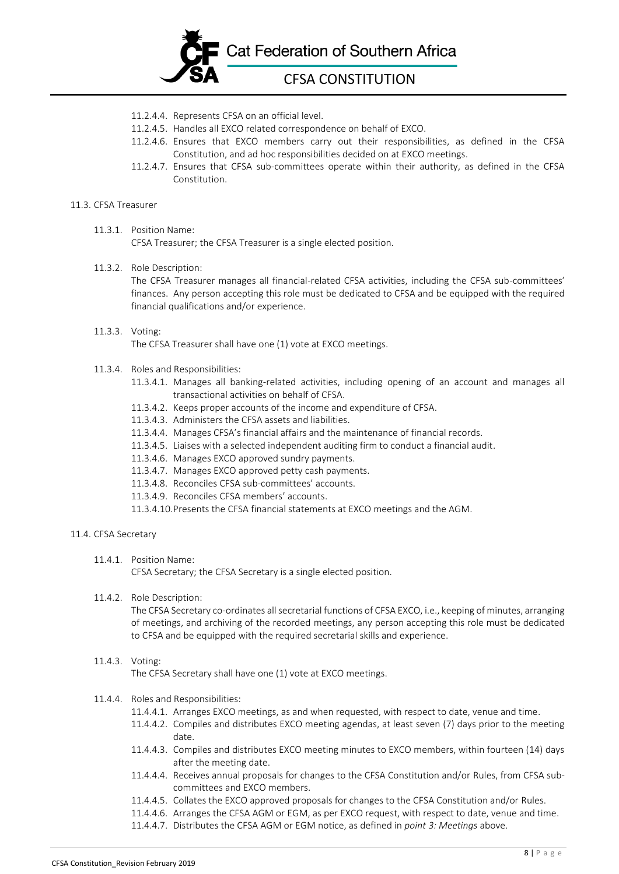

- 11.2.4.4. Represents CFSA on an official level.
- 11.2.4.5. Handles all EXCO related correspondence on behalf of EXCO.
- 11.2.4.6. Ensures that EXCO members carry out their responsibilities, as defined in the CFSA Constitution, and ad hoc responsibilities decided on at EXCO meetings.
- 11.2.4.7. Ensures that CFSA sub-committees operate within their authority, as defined in the CFSA Constitution.

#### 11.3. CFSA Treasurer

11.3.1. Position Name: CFSA Treasurer; the CFSA Treasurer is a single elected position.

#### 11.3.2. Role Description:

The CFSA Treasurer manages all financial-related CFSA activities, including the CFSA sub-committees' finances. Any person accepting this role must be dedicated to CFSA and be equipped with the required financial qualifications and/or experience.

# 11.3.3. Voting:

The CFSA Treasurer shall have one (1) vote at EXCO meetings.

- 11.3.4. Roles and Responsibilities:
	- 11.3.4.1. Manages all banking-related activities, including opening of an account and manages all transactional activities on behalf of CFSA.
	- 11.3.4.2. Keeps proper accounts of the income and expenditure of CFSA.
	- 11.3.4.3. Administers the CFSA assets and liabilities.
	- 11.3.4.4. Manages CFSA's financial affairs and the maintenance of financial records.
	- 11.3.4.5. Liaises with a selected independent auditing firm to conduct a financial audit.
	- 11.3.4.6. Manages EXCO approved sundry payments.
	- 11.3.4.7. Manages EXCO approved petty cash payments.
	- 11.3.4.8. Reconciles CFSA sub-committees' accounts.
	- 11.3.4.9. Reconciles CFSA members' accounts.
	- 11.3.4.10.Presents the CFSA financial statements at EXCO meetings and the AGM.

#### 11.4. CFSA Secretary

11.4.1. Position Name:

CFSA Secretary; the CFSA Secretary is a single elected position.

11.4.2. Role Description:

The CFSA Secretary co-ordinates all secretarial functions of CFSA EXCO, i.e., keeping of minutes, arranging of meetings, and archiving of the recorded meetings, any person accepting this role must be dedicated to CFSA and be equipped with the required secretarial skills and experience.

#### 11.4.3. Voting:

The CFSA Secretary shall have one (1) vote at EXCO meetings.

- 11.4.4. Roles and Responsibilities:
	- 11.4.4.1. Arranges EXCO meetings, as and when requested, with respect to date, venue and time.
	- 11.4.4.2. Compiles and distributes EXCO meeting agendas, at least seven (7) days prior to the meeting date.
	- 11.4.4.3. Compiles and distributes EXCO meeting minutes to EXCO members, within fourteen (14) days after the meeting date.
	- 11.4.4.4. Receives annual proposals for changes to the CFSA Constitution and/or Rules, from CFSA subcommittees and EXCO members.
	- 11.4.4.5. Collates the EXCO approved proposals for changes to the CFSA Constitution and/or Rules.
	- 11.4.4.6. Arranges the CFSA AGM or EGM, as per EXCO request, with respect to date, venue and time.
	- 11.4.4.7. Distributes the CFSA AGM or EGM notice, as defined in *point 3: Meetings* above.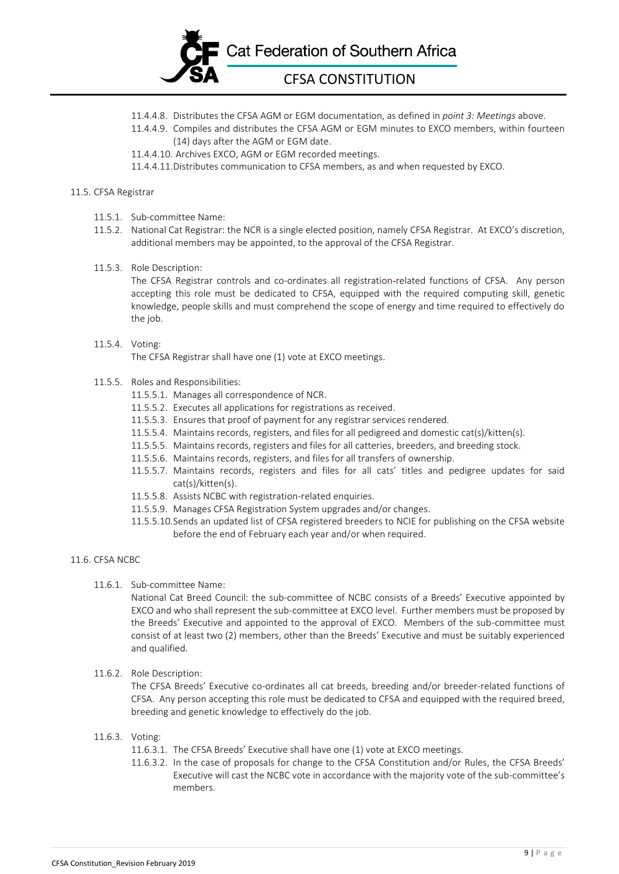

- 11.4.4.8. Distributes the CFSA AGM or EGM documentation, as defined in *point 3: Meetings* above.
- 11.4.4.9. Compiles and distributes the CFSA AGM or EGM minutes to EXCO members, within fourteen (14) days after the AGM or EGM date.

11.4.4.10. Archives EXCO, AGM or EGM recorded meetings.

11.4.4.11.Distributes communication to CFSA members, as and when requested by EXCO.

#### 11.5. CFSA Registrar

- 11.5.1. Sub-committee Name:
- 11.5.2. National Cat Registrar: the NCR is a single elected position, namely CFSA Registrar. At EXCO's discretion, additional members may be appointed, to the approval of the CFSA Registrar.
- 11.5.3. Role Description:

The CFSA Registrar controls and co-ordinates all registration-related functions of CFSA. Any person accepting this role must be dedicated to CFSA, equipped with the required computing skill, genetic knowledge, people skills and must comprehend the scope of energy and time required to effectively do the job.

#### 11.5.4. Voting:

The CFSA Registrar shall have one (1) vote at EXCO meetings.

#### 11.5.5. Roles and Responsibilities:

- 11.5.5.1. Manages all correspondence of NCR.
- 11.5.5.2. Executes all applications for registrations as received.
- 11.5.5.3. Ensures that proof of payment for any registrar services rendered.
- 11.5.5.4. Maintains records, registers, and files for all pedigreed and domestic cat(s)/kitten(s).
- 11.5.5.5. Maintains records, registers and files for all catteries, breeders, and breeding stock.
- 11.5.5.6. Maintains records, registers, and files for all transfers of ownership.
- 11.5.5.7. Maintains records, registers and files for all cats' titles and pedigree updates for said cat(s)/kitten(s).
- 11.5.5.8. Assists NCBC with registration-related enquiries.
- 11.5.5.9. Manages CFSA Registration System upgrades and/or changes.
- 11.5.5.10.Sends an updated list of CFSA registered breeders to NCIE for publishing on the CFSA website before the end of February each year and/or when required.

#### 11.6. CFSA NCBC

11.6.1. Sub-committee Name:

National Cat Breed Council: the sub-committee of NCBC consists of a Breeds' Executive appointed by EXCO and who shall represent the sub-committee at EXCO level. Further members must be proposed by the Breeds' Executive and appointed to the approval of EXCO. Members of the sub-committee must consist of at least two (2) members, other than the Breeds' Executive and must be suitably experienced and qualified.

#### 11.6.2. Role Description:

The CFSA Breeds' Executive co-ordinates all cat breeds, breeding and/or breeder-related functions of CFSA. Any person accepting this role must be dedicated to CFSA and equipped with the required breed, breeding and genetic knowledge to effectively do the job.

#### 11.6.3. Voting:

- 11.6.3.1. The CFSA Breeds' Executive shall have one (1) vote at EXCO meetings.
- 11.6.3.2. In the case of proposals for change to the CFSA Constitution and/or Rules, the CFSA Breeds' Executive will cast the NCBC vote in accordance with the majority vote of the sub-committee's members.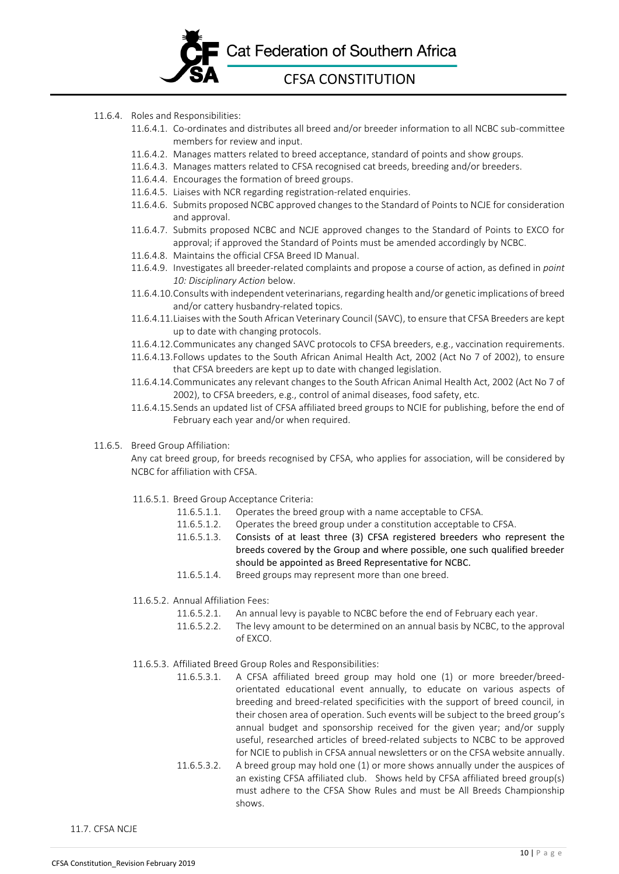

- 11.6.4. Roles and Responsibilities:
	- 11.6.4.1. Co-ordinates and distributes all breed and/or breeder information to all NCBC sub-committee members for review and input.
	- 11.6.4.2. Manages matters related to breed acceptance, standard of points and show groups.
	- 11.6.4.3. Manages matters related to CFSA recognised cat breeds, breeding and/or breeders.
	- 11.6.4.4. Encourages the formation of breed groups.
	- 11.6.4.5. Liaises with NCR regarding registration-related enquiries.
	- 11.6.4.6. Submits proposed NCBC approved changes to the Standard of Points to NCJE for consideration and approval.
	- 11.6.4.7. Submits proposed NCBC and NCJE approved changes to the Standard of Points to EXCO for approval; if approved the Standard of Points must be amended accordingly by NCBC.
	- 11.6.4.8. Maintains the official CFSA Breed ID Manual.
	- 11.6.4.9. Investigates all breeder-related complaints and propose a course of action, as defined in *point 10: Disciplinary Action* below.
	- 11.6.4.10.Consults with independent veterinarians, regarding health and/or genetic implications of breed and/or cattery husbandry-related topics.
	- 11.6.4.11.Liaises with the South African Veterinary Council (SAVC), to ensure that CFSA Breeders are kept up to date with changing protocols.
	- 11.6.4.12.Communicates any changed SAVC protocols to CFSA breeders, e.g., vaccination requirements.
	- 11.6.4.13.Follows updates to the South African Animal Health Act, 2002 (Act No 7 of 2002), to ensure that CFSA breeders are kept up to date with changed legislation.
	- 11.6.4.14.Communicates any relevant changes to the South African Animal Health Act, 2002 (Act No 7 of 2002), to CFSA breeders, e.g., control of animal diseases, food safety, etc.
	- 11.6.4.15.Sends an updated list of CFSA affiliated breed groups to NCIE for publishing, before the end of February each year and/or when required.
- 11.6.5. Breed Group Affiliation:

Any cat breed group, for breeds recognised by CFSA, who applies for association, will be considered by NCBC for affiliation with CFSA.

- 11.6.5.1. Breed Group Acceptance Criteria:
	- 11.6.5.1.1. Operates the breed group with a name acceptable to CFSA.
	- 11.6.5.1.2. Operates the breed group under a constitution acceptable to CFSA.
		- 11.6.5.1.3. Consists of at least three (3) CFSA registered breeders who represent the breeds covered by the Group and where possible, one such qualified breeder should be appointed as Breed Representative for NCBC.
		- 11.6.5.1.4. Breed groups may represent more than one breed.
- 11.6.5.2. Annual Affiliation Fees:
	- 11.6.5.2.1. An annual levy is payable to NCBC before the end of February each year.
	- 11.6.5.2.2. The levy amount to be determined on an annual basis by NCBC, to the approval of EXCO.
- 11.6.5.3. Affiliated Breed Group Roles and Responsibilities:
	- 11.6.5.3.1. A CFSA affiliated breed group may hold one (1) or more breeder/breedorientated educational event annually, to educate on various aspects of breeding and breed-related specificities with the support of breed council, in their chosen area of operation. Such events will be subject to the breed group's annual budget and sponsorship received for the given year; and/or supply useful, researched articles of breed-related subjects to NCBC to be approved for NCIE to publish in CFSA annual newsletters or on the CFSA website annually.
	- 11.6.5.3.2. A breed group may hold one (1) or more shows annually under the auspices of an existing CFSA affiliated club. Shows held by CFSA affiliated breed group(s) must adhere to the CFSA Show Rules and must be All Breeds Championship shows.

11.7. CFSA NCJE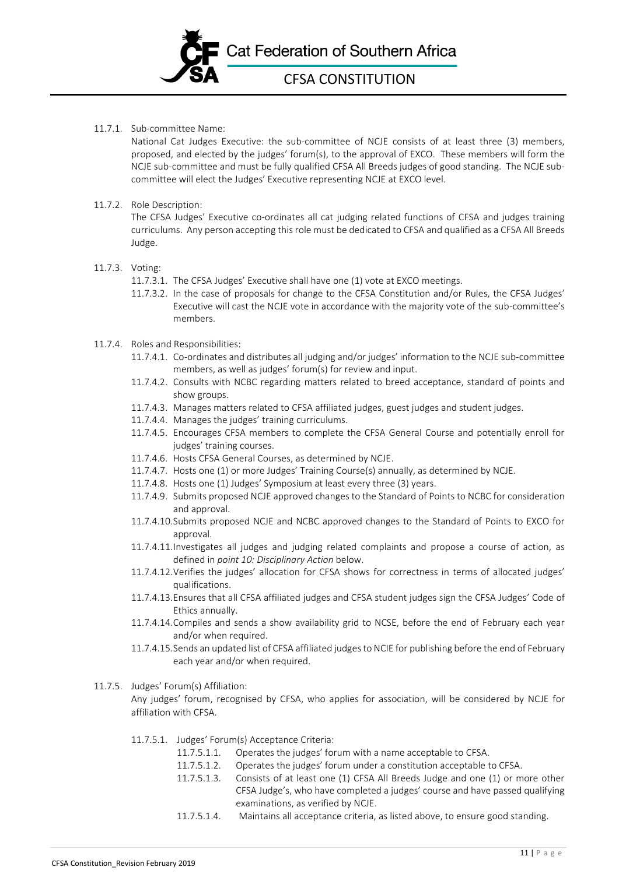

11.7.1. Sub-committee Name:

National Cat Judges Executive: the sub-committee of NCJE consists of at least three (3) members, proposed, and elected by the judges' forum(s), to the approval of EXCO. These members will form the NCJE sub-committee and must be fully qualified CFSA All Breeds judges of good standing. The NCJE subcommittee will elect the Judges' Executive representing NCJE at EXCO level.

11.7.2. Role Description:

The CFSA Judges' Executive co-ordinates all cat judging related functions of CFSA and judges training curriculums. Any person accepting this role must be dedicated to CFSA and qualified as a CFSA All Breeds Judge.

## 11.7.3. Voting:

- 11.7.3.1. The CFSA Judges' Executive shall have one (1) vote at EXCO meetings.
- 11.7.3.2. In the case of proposals for change to the CFSA Constitution and/or Rules, the CFSA Judges' Executive will cast the NCJE vote in accordance with the majority vote of the sub-committee's members.

#### 11.7.4. Roles and Responsibilities:

- 11.7.4.1. Co-ordinates and distributes all judging and/or judges' information to the NCJE sub-committee members, as well as judges' forum(s) for review and input.
- 11.7.4.2. Consults with NCBC regarding matters related to breed acceptance, standard of points and show groups.
- 11.7.4.3. Manages matters related to CFSA affiliated judges, guest judges and student judges.
- 11.7.4.4. Manages the judges' training curriculums.
- 11.7.4.5. Encourages CFSA members to complete the CFSA General Course and potentially enroll for judges' training courses.
- 11.7.4.6. Hosts CFSA General Courses, as determined by NCJE.
- 11.7.4.7. Hosts one (1) or more Judges' Training Course(s) annually, as determined by NCJE.
- 11.7.4.8. Hosts one (1) Judges' Symposium at least every three (3) years.
- 11.7.4.9. Submits proposed NCJE approved changes to the Standard of Points to NCBC for consideration and approval.
- 11.7.4.10.Submits proposed NCJE and NCBC approved changes to the Standard of Points to EXCO for approval.
- 11.7.4.11.Investigates all judges and judging related complaints and propose a course of action, as defined in *point 10: Disciplinary Action* below.
- 11.7.4.12.Verifies the judges' allocation for CFSA shows for correctness in terms of allocated judges' qualifications.
- 11.7.4.13.Ensures that all CFSA affiliated judges and CFSA student judges sign the CFSA Judges' Code of Ethics annually.
- 11.7.4.14.Compiles and sends a show availability grid to NCSE, before the end of February each year and/or when required.
- 11.7.4.15.Sends an updated list of CFSA affiliated judges to NCIE for publishing before the end of February each year and/or when required.
- 11.7.5. Judges' Forum(s) Affiliation:

Any judges' forum, recognised by CFSA, who applies for association, will be considered by NCJE for affiliation with CFSA.

- 11.7.5.1. Judges' Forum(s) Acceptance Criteria:
	- 11.7.5.1.1. Operates the judges' forum with a name acceptable to CFSA.
	- 11.7.5.1.2. Operates the judges' forum under a constitution acceptable to CFSA.
	- 11.7.5.1.3. Consists of at least one (1) CFSA All Breeds Judge and one (1) or more other CFSA Judge's, who have completed a judges' course and have passed qualifying examinations, as verified by NCJE.
	- 11.7.5.1.4. Maintains all acceptance criteria, as listed above, to ensure good standing.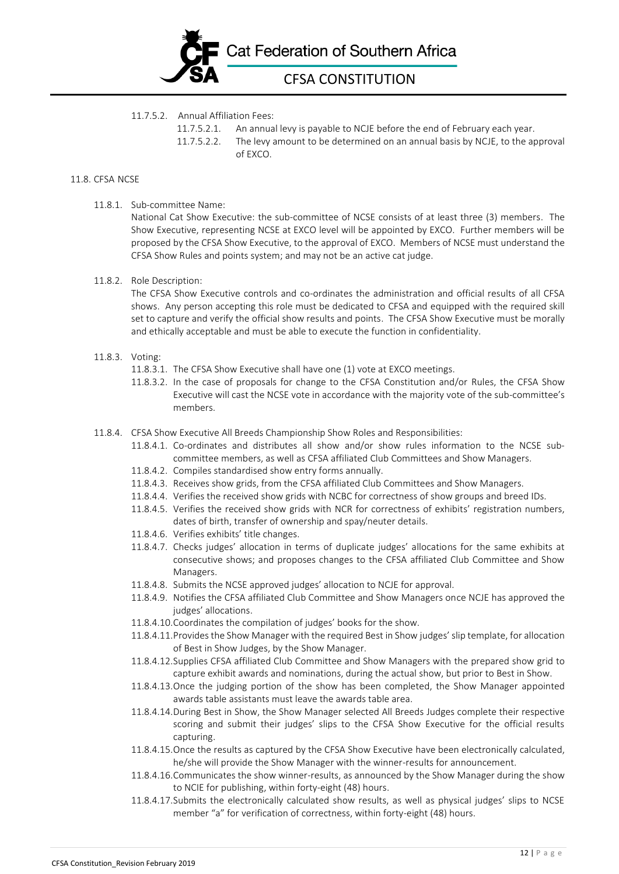

#### 11.7.5.2. Annual Affiliation Fees:

- 11.7.5.2.1. An annual levy is payable to NCJE before the end of February each year.
- 11.7.5.2.2. The levy amount to be determined on an annual basis by NCJE, to the approval of EXCO.

## 11.8. CFSA NCSE

11.8.1. Sub-committee Name:

National Cat Show Executive: the sub-committee of NCSE consists of at least three (3) members. The Show Executive, representing NCSE at EXCO level will be appointed by EXCO. Further members will be proposed by the CFSA Show Executive, to the approval of EXCO. Members of NCSE must understand the CFSA Show Rules and points system; and may not be an active cat judge.

11.8.2. Role Description:

The CFSA Show Executive controls and co-ordinates the administration and official results of all CFSA shows. Any person accepting this role must be dedicated to CFSA and equipped with the required skill set to capture and verify the official show results and points. The CFSA Show Executive must be morally and ethically acceptable and must be able to execute the function in confidentiality.

#### 11.8.3. Voting:

- 11.8.3.1. The CFSA Show Executive shall have one (1) vote at EXCO meetings.
- 11.8.3.2. In the case of proposals for change to the CFSA Constitution and/or Rules, the CFSA Show Executive will cast the NCSE vote in accordance with the majority vote of the sub-committee's members.
- 11.8.4. CFSA Show Executive All Breeds Championship Show Roles and Responsibilities:
	- 11.8.4.1. Co-ordinates and distributes all show and/or show rules information to the NCSE subcommittee members, as well as CFSA affiliated Club Committees and Show Managers.
	- 11.8.4.2. Compiles standardised show entry forms annually.
	- 11.8.4.3. Receives show grids, from the CFSA affiliated Club Committees and Show Managers.
	- 11.8.4.4. Verifies the received show grids with NCBC for correctness of show groups and breed IDs.
	- 11.8.4.5. Verifies the received show grids with NCR for correctness of exhibits' registration numbers, dates of birth, transfer of ownership and spay/neuter details.
	- 11.8.4.6. Verifies exhibits' title changes.
	- 11.8.4.7. Checks judges' allocation in terms of duplicate judges' allocations for the same exhibits at consecutive shows; and proposes changes to the CFSA affiliated Club Committee and Show Managers.
	- 11.8.4.8. Submits the NCSE approved judges' allocation to NCJE for approval.
	- 11.8.4.9. Notifies the CFSA affiliated Club Committee and Show Managers once NCJE has approved the judges' allocations.
	- 11.8.4.10.Coordinates the compilation of judges' books for the show.
	- 11.8.4.11.Provides the Show Manager with the required Best in Show judges' slip template, for allocation of Best in Show Judges, by the Show Manager.
	- 11.8.4.12.Supplies CFSA affiliated Club Committee and Show Managers with the prepared show grid to capture exhibit awards and nominations, during the actual show, but prior to Best in Show.
	- 11.8.4.13.Once the judging portion of the show has been completed, the Show Manager appointed awards table assistants must leave the awards table area.
	- 11.8.4.14.During Best in Show, the Show Manager selected All Breeds Judges complete their respective scoring and submit their judges' slips to the CFSA Show Executive for the official results capturing.
	- 11.8.4.15.Once the results as captured by the CFSA Show Executive have been electronically calculated, he/she will provide the Show Manager with the winner-results for announcement.
	- 11.8.4.16.Communicates the show winner-results, as announced by the Show Manager during the show to NCIE for publishing, within forty-eight (48) hours.
	- 11.8.4.17.Submits the electronically calculated show results, as well as physical judges' slips to NCSE member "a" for verification of correctness, within forty-eight (48) hours.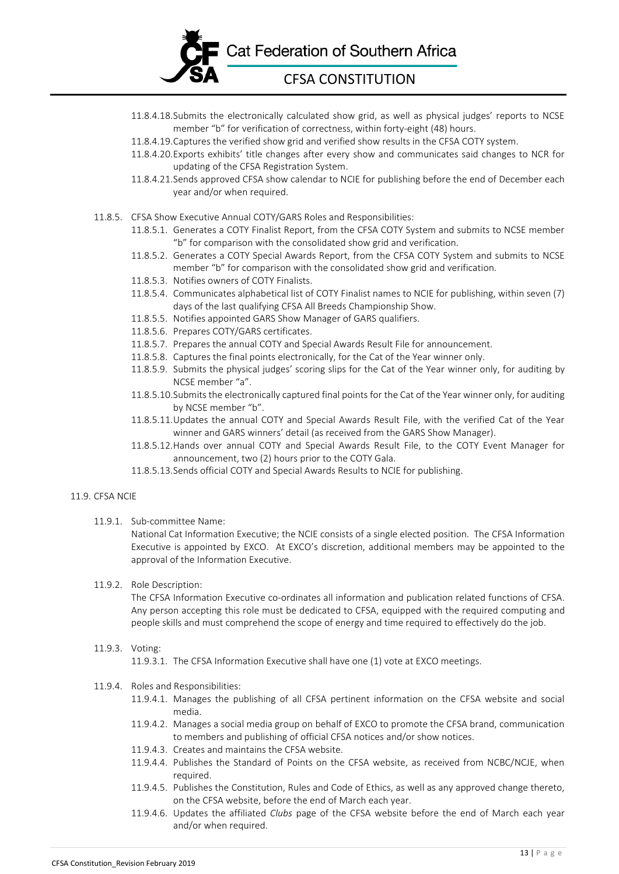

- 11.8.4.18.Submits the electronically calculated show grid, as well as physical judges' reports to NCSE member "b" for verification of correctness, within forty-eight (48) hours.
- 11.8.4.19.Captures the verified show grid and verified show results in the CFSA COTY system.
- 11.8.4.20.Exports exhibits' title changes after every show and communicates said changes to NCR for updating of the CFSA Registration System.
- 11.8.4.21.Sends approved CFSA show calendar to NCIE for publishing before the end of December each year and/or when required.
- 11.8.5. CFSA Show Executive Annual COTY/GARS Roles and Responsibilities:
	- 11.8.5.1. Generates a COTY Finalist Report, from the CFSA COTY System and submits to NCSE member "b" for comparison with the consolidated show grid and verification.
	- 11.8.5.2. Generates a COTY Special Awards Report, from the CFSA COTY System and submits to NCSE member "b" for comparison with the consolidated show grid and verification.
	- 11.8.5.3. Notifies owners of COTY Finalists.
	- 11.8.5.4. Communicates alphabetical list of COTY Finalist names to NCIE for publishing, within seven (7) days of the last qualifying CFSA All Breeds Championship Show.
	- 11.8.5.5. Notifies appointed GARS Show Manager of GARS qualifiers.
	- 11.8.5.6. Prepares COTY/GARS certificates.
	- 11.8.5.7. Prepares the annual COTY and Special Awards Result File for announcement.
	- 11.8.5.8. Captures the final points electronically, for the Cat of the Year winner only.
	- 11.8.5.9. Submits the physical judges' scoring slips for the Cat of the Year winner only, for auditing by NCSE member "a".
	- 11.8.5.10.Submits the electronically captured final points for the Cat of the Year winner only, for auditing by NCSE member "b".
	- 11.8.5.11.Updates the annual COTY and Special Awards Result File, with the verified Cat of the Year winner and GARS winners' detail (as received from the GARS Show Manager).
	- 11.8.5.12.Hands over annual COTY and Special Awards Result File, to the COTY Event Manager for announcement, two (2) hours prior to the COTY Gala.
	- 11.8.5.13.Sends official COTY and Special Awards Results to NCIE for publishing.

#### 11.9. CFSA NCIE

11.9.1. Sub-committee Name:

National Cat Information Executive; the NCIE consists of a single elected position. The CFSA Information Executive is appointed by EXCO. At EXCO's discretion, additional members may be appointed to the approval of the Information Executive.

#### 11.9.2. Role Description:

The CFSA Information Executive co-ordinates all information and publication related functions of CFSA. Any person accepting this role must be dedicated to CFSA, equipped with the required computing and people skills and must comprehend the scope of energy and time required to effectively do the job.

#### 11.9.3. Voting:

11.9.3.1. The CFSA Information Executive shall have one (1) vote at EXCO meetings.

#### 11.9.4. Roles and Responsibilities:

- 11.9.4.1. Manages the publishing of all CFSA pertinent information on the CFSA website and social media.
- 11.9.4.2. Manages a social media group on behalf of EXCO to promote the CFSA brand, communication to members and publishing of official CFSA notices and/or show notices.
- 11.9.4.3. Creates and maintains the CFSA website.
- 11.9.4.4. Publishes the Standard of Points on the CFSA website, as received from NCBC/NCJE, when required.
- 11.9.4.5. Publishes the Constitution, Rules and Code of Ethics, as well as any approved change thereto, on the CFSA website, before the end of March each year.
- 11.9.4.6. Updates the affiliated *Clubs* page of the CFSA website before the end of March each year and/or when required.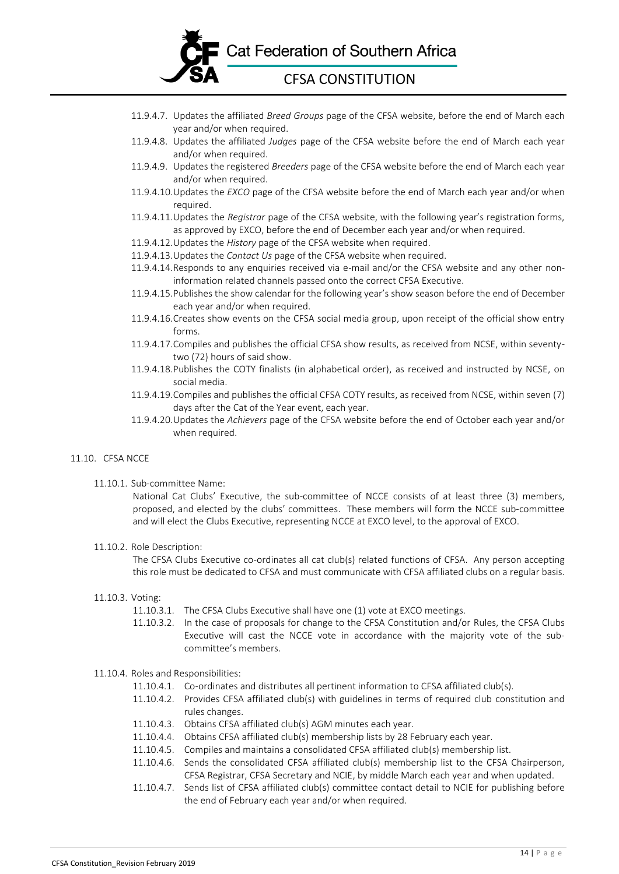

- 11.9.4.7. Updates the affiliated *Breed Groups* page of the CFSA website, before the end of March each year and/or when required.
- 11.9.4.8. Updates the affiliated *Judges* page of the CFSA website before the end of March each year and/or when required.
- 11.9.4.9. Updates the registered *Breeders* page of the CFSA website before the end of March each year and/or when required.
- 11.9.4.10.Updates the *EXCO* page of the CFSA website before the end of March each year and/or when required.
- 11.9.4.11.Updates the *Registrar* page of the CFSA website, with the following year's registration forms, as approved by EXCO, before the end of December each year and/or when required.
- 11.9.4.12.Updates the *History* page of the CFSA website when required.
- 11.9.4.13.Updates the *Contact Us* page of the CFSA website when required.
- 11.9.4.14.Responds to any enquiries received via e-mail and/or the CFSA website and any other noninformation related channels passed onto the correct CFSA Executive.
- 11.9.4.15.Publishes the show calendar for the following year's show season before the end of December each year and/or when required.
- 11.9.4.16.Creates show events on the CFSA social media group, upon receipt of the official show entry forms.
- 11.9.4.17.Compiles and publishes the official CFSA show results, as received from NCSE, within seventytwo (72) hours of said show.
- 11.9.4.18.Publishes the COTY finalists (in alphabetical order), as received and instructed by NCSE, on social media.
- 11.9.4.19.Compiles and publishes the official CFSA COTY results, as received from NCSE, within seven (7) days after the Cat of the Year event, each year.
- 11.9.4.20.Updates the *Achievers* page of the CFSA website before the end of October each year and/or when required.

#### 11.10. CFSA NCCE

#### 11.10.1. Sub-committee Name:

National Cat Clubs' Executive, the sub-committee of NCCE consists of at least three (3) members, proposed, and elected by the clubs' committees. These members will form the NCCE sub-committee and will elect the Clubs Executive, representing NCCE at EXCO level, to the approval of EXCO.

#### 11.10.2. Role Description:

The CFSA Clubs Executive co-ordinates all cat club(s) related functions of CFSA. Any person accepting this role must be dedicated to CFSA and must communicate with CFSA affiliated clubs on a regular basis.

#### 11.10.3. Voting:

- 11.10.3.1. The CFSA Clubs Executive shall have one (1) vote at EXCO meetings.
- 11.10.3.2. In the case of proposals for change to the CFSA Constitution and/or Rules, the CFSA Clubs Executive will cast the NCCE vote in accordance with the majority vote of the subcommittee's members.

#### 11.10.4. Roles and Responsibilities:

- 11.10.4.1. Co-ordinates and distributes all pertinent information to CFSA affiliated club(s).
- 11.10.4.2. Provides CFSA affiliated club(s) with guidelines in terms of required club constitution and rules changes.
- 11.10.4.3. Obtains CFSA affiliated club(s) AGM minutes each year.
- 11.10.4.4. Obtains CFSA affiliated club(s) membership lists by 28 February each year.
- 11.10.4.5. Compiles and maintains a consolidated CFSA affiliated club(s) membership list.
- 11.10.4.6. Sends the consolidated CFSA affiliated club(s) membership list to the CFSA Chairperson, CFSA Registrar, CFSA Secretary and NCIE, by middle March each year and when updated.
- 11.10.4.7. Sends list of CFSA affiliated club(s) committee contact detail to NCIE for publishing before the end of February each year and/or when required.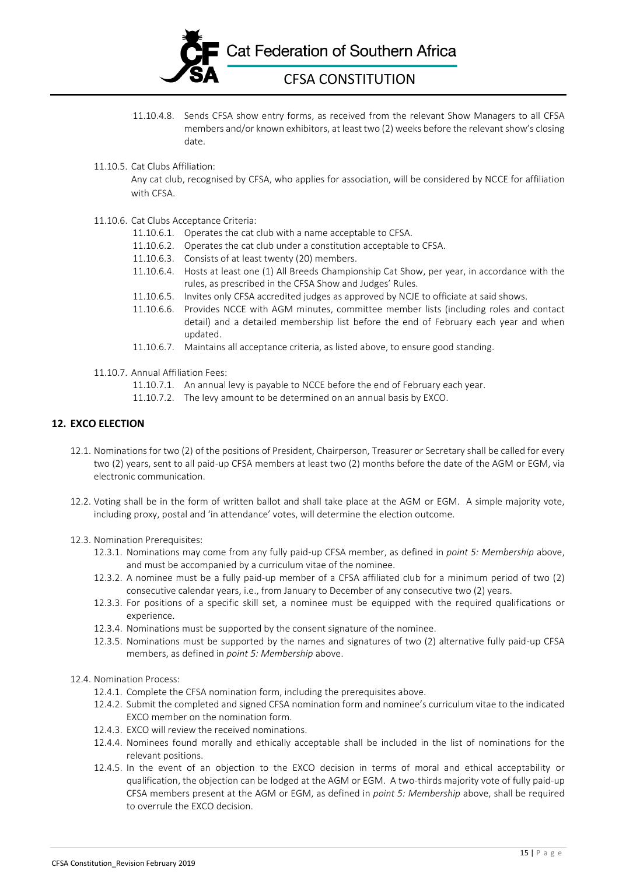

- 11.10.4.8. Sends CFSA show entry forms, as received from the relevant Show Managers to all CFSA members and/or known exhibitors, at least two (2) weeks before the relevant show's closing date.
- 11.10.5. Cat Clubs Affiliation:

Any cat club, recognised by CFSA, who applies for association, will be considered by NCCE for affiliation with CFSA.

- 11.10.6. Cat Clubs Acceptance Criteria:
	- 11.10.6.1. Operates the cat club with a name acceptable to CFSA.
	- 11.10.6.2. Operates the cat club under a constitution acceptable to CFSA.
	- 11.10.6.3. Consists of at least twenty (20) members.
	- 11.10.6.4. Hosts at least one (1) All Breeds Championship Cat Show, per year, in accordance with the rules, as prescribed in the CFSA Show and Judges' Rules.
	- 11.10.6.5. Invites only CFSA accredited judges as approved by NCJE to officiate at said shows.
	- 11.10.6.6. Provides NCCE with AGM minutes, committee member lists (including roles and contact detail) and a detailed membership list before the end of February each year and when updated.
	- 11.10.6.7. Maintains all acceptance criteria, as listed above, to ensure good standing.
- 11.10.7. Annual Affiliation Fees:
	- 11.10.7.1. An annual levy is payable to NCCE before the end of February each year.
	- 11.10.7.2. The levy amount to be determined on an annual basis by EXCO.

## **12. EXCO ELECTION**

- 12.1. Nominations for two (2) of the positions of President, Chairperson, Treasurer or Secretary shall be called for every two (2) years, sent to all paid-up CFSA members at least two (2) months before the date of the AGM or EGM, via electronic communication.
- 12.2. Voting shall be in the form of written ballot and shall take place at the AGM or EGM. A simple majority vote, including proxy, postal and 'in attendance' votes, will determine the election outcome.
- 12.3. Nomination Prerequisites:
	- 12.3.1. Nominations may come from any fully paid-up CFSA member, as defined in *point 5: Membership* above, and must be accompanied by a curriculum vitae of the nominee.
	- 12.3.2. A nominee must be a fully paid-up member of a CFSA affiliated club for a minimum period of two (2) consecutive calendar years, i.e., from January to December of any consecutive two (2) years.
	- 12.3.3. For positions of a specific skill set, a nominee must be equipped with the required qualifications or experience.
	- 12.3.4. Nominations must be supported by the consent signature of the nominee.
	- 12.3.5. Nominations must be supported by the names and signatures of two (2) alternative fully paid-up CFSA members, as defined in *point 5: Membership* above.
- 12.4. Nomination Process:
	- 12.4.1. Complete the CFSA nomination form, including the prerequisites above.
	- 12.4.2. Submit the completed and signed CFSA nomination form and nominee's curriculum vitae to the indicated EXCO member on the nomination form.
	- 12.4.3. EXCO will review the received nominations.
	- 12.4.4. Nominees found morally and ethically acceptable shall be included in the list of nominations for the relevant positions.
	- 12.4.5. In the event of an objection to the EXCO decision in terms of moral and ethical acceptability or qualification, the objection can be lodged at the AGM or EGM. A two-thirds majority vote of fully paid-up CFSA members present at the AGM or EGM, as defined in *point 5: Membership* above, shall be required to overrule the EXCO decision.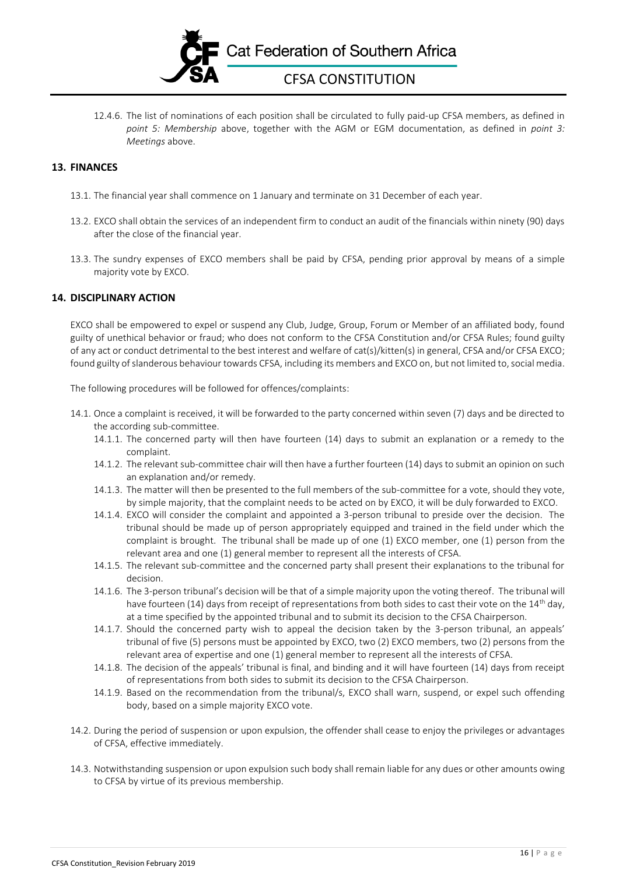

12.4.6. The list of nominations of each position shall be circulated to fully paid-up CFSA members, as defined in *point 5: Membership* above, together with the AGM or EGM documentation, as defined in *point 3: Meetings* above.

# **13. FINANCES**

- 13.1. The financial year shall commence on 1 January and terminate on 31 December of each year.
- 13.2. EXCO shall obtain the services of an independent firm to conduct an audit of the financials within ninety (90) days after the close of the financial year.
- 13.3. The sundry expenses of EXCO members shall be paid by CFSA, pending prior approval by means of a simple majority vote by EXCO.

## **14. DISCIPLINARY ACTION**

EXCO shall be empowered to expel or suspend any Club, Judge, Group, Forum or Member of an affiliated body, found guilty of unethical behavior or fraud; who does not conform to the CFSA Constitution and/or CFSA Rules; found guilty of any act or conduct detrimental to the best interest and welfare of cat(s)/kitten(s) in general, CFSA and/or CFSA EXCO; found guilty of slanderous behaviour towards CFSA, including its members and EXCO on, but not limited to, social media.

The following procedures will be followed for offences/complaints:

- 14.1. Once a complaint is received, it will be forwarded to the party concerned within seven (7) days and be directed to the according sub-committee.
	- 14.1.1. The concerned party will then have fourteen (14) days to submit an explanation or a remedy to the complaint.
	- 14.1.2. The relevant sub-committee chair will then have a further fourteen (14) days to submit an opinion on such an explanation and/or remedy.
	- 14.1.3. The matter will then be presented to the full members of the sub-committee for a vote, should they vote, by simple majority, that the complaint needs to be acted on by EXCO, it will be duly forwarded to EXCO.
	- 14.1.4. EXCO will consider the complaint and appointed a 3-person tribunal to preside over the decision. The tribunal should be made up of person appropriately equipped and trained in the field under which the complaint is brought. The tribunal shall be made up of one (1) EXCO member, one (1) person from the relevant area and one (1) general member to represent all the interests of CFSA.
	- 14.1.5. The relevant sub-committee and the concerned party shall present their explanations to the tribunal for decision.
	- 14.1.6. The 3-person tribunal's decision will be that of a simple majority upon the voting thereof. The tribunal will have fourteen (14) days from receipt of representations from both sides to cast their vote on the  $14<sup>th</sup>$  day, at a time specified by the appointed tribunal and to submit its decision to the CFSA Chairperson.
	- 14.1.7. Should the concerned party wish to appeal the decision taken by the 3-person tribunal, an appeals' tribunal of five (5) persons must be appointed by EXCO, two (2) EXCO members, two (2) persons from the relevant area of expertise and one (1) general member to represent all the interests of CFSA.
	- 14.1.8. The decision of the appeals' tribunal is final, and binding and it will have fourteen (14) days from receipt of representations from both sides to submit its decision to the CFSA Chairperson.
	- 14.1.9. Based on the recommendation from the tribunal/s, EXCO shall warn, suspend, or expel such offending body, based on a simple majority EXCO vote.
- 14.2. During the period of suspension or upon expulsion, the offender shall cease to enjoy the privileges or advantages of CFSA, effective immediately.
- 14.3. Notwithstanding suspension or upon expulsion such body shall remain liable for any dues or other amounts owing to CFSA by virtue of its previous membership.